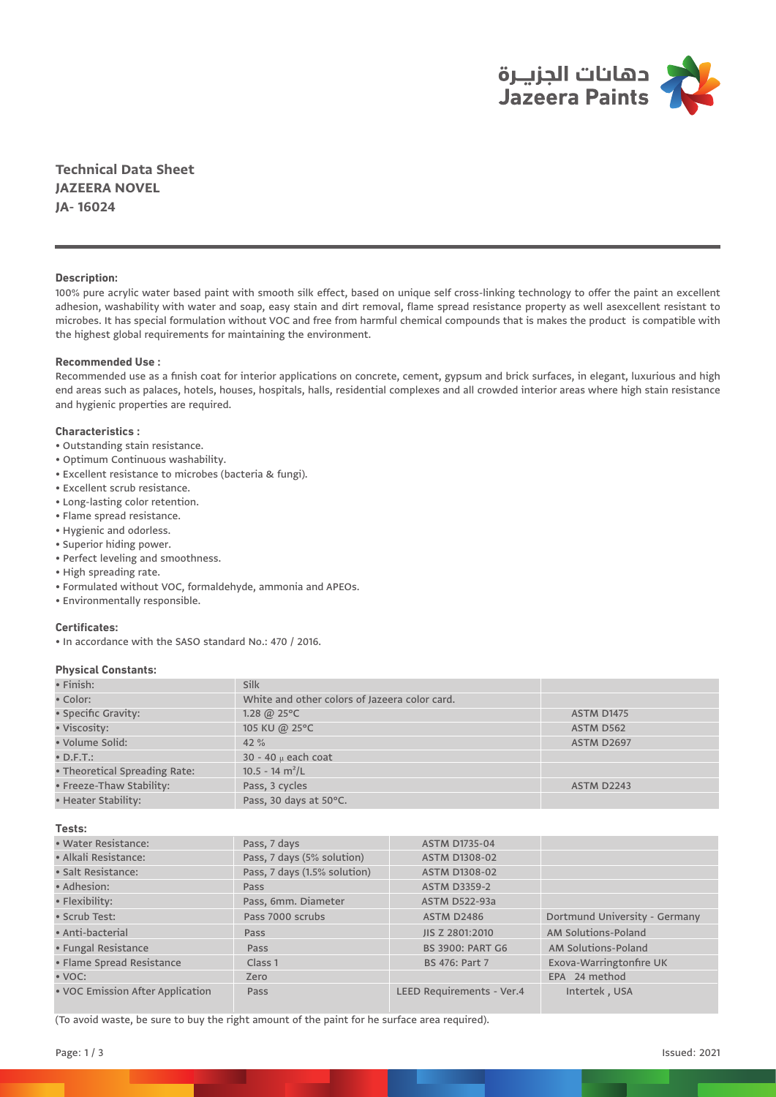

**Technical Data Sheet JAZEERA NOVEL JA- 16024**

# **Description:**

100% pure acrylic water based paint with smooth silk effect, based on unique self cross-linking technology to offer the paint an excellent adhesion, washability with water and soap, easy stain and dirt removal, flame spread resistance property as well asexcellent resistant to microbes. It has special formulation without VOC and free from harmful chemical compounds that is makes the product is compatible with the highest global requirements for maintaining the environment.

# **Recommended Use :**

Recommended use as a finish coat for interior applications on concrete, cement, gypsum and brick surfaces, in elegant, luxurious and high end areas such as palaces, hotels, houses, hospitals, halls, residential complexes and all crowded interior areas where high stain resistance and hygienic properties are required.

### **Characteristics :**

- Outstanding stain resistance.
- Optimum Continuous washability.
- Excellent resistance to microbes (bacteria & fungi).
- Excellent scrub resistance.
- Long-lasting color retention.
- Flame spread resistance.
- Hygienic and odorless.
- Superior hiding power.
- Perfect leveling and smoothness.
- High spreading rate.
- Formulated without VOC, formaldehyde, ammonia and APEOs.
- Environmentally responsible.

#### **Certificates:**

• In accordance with the SASO standard No.: 470 / 2016.

## **Physical Constants:**

| $\bullet$ Finish:             | Silk                                          |                   |
|-------------------------------|-----------------------------------------------|-------------------|
| • Color:                      | White and other colors of Jazeera color card. |                   |
| • Specific Gravity:           | 1.28 @ $25^{\circ}$ C                         | <b>ASTM D1475</b> |
| • Viscosity:                  | 105 KU @ 25°C                                 | ASTM D562         |
| · Volume Solid:               | $42 \%$                                       | <b>ASTM D2697</b> |
| $\bullet$ D.F.T.:             | $30 - 40$ $\mu$ each coat                     |                   |
| • Theoretical Spreading Rate: | $10.5 - 14$ m <sup>2</sup> /L                 |                   |
| • Freeze-Thaw Stability:      | Pass, 3 cycles                                | <b>ASTM D2243</b> |
| • Heater Stability:           | Pass, 30 days at 50°C.                        |                   |

**Tests:**

| • Water Resistance:              | Pass, 7 days                 | <b>ASTM D1735-04</b>      |                               |  |
|----------------------------------|------------------------------|---------------------------|-------------------------------|--|
| • Alkali Resistance:             | Pass, 7 days (5% solution)   | <b>ASTM D1308-02</b>      |                               |  |
| · Salt Resistance:               | Pass, 7 days (1.5% solution) | <b>ASTM D1308-02</b>      |                               |  |
| • Adhesion:                      | Pass                         | <b>ASTM D3359-2</b>       |                               |  |
| • Flexibility:                   | Pass, 6mm. Diameter          | <b>ASTM D522-93a</b>      |                               |  |
| • Scrub Test:                    | Pass 7000 scrubs             | <b>ASTM D2486</b>         | Dortmund University - Germany |  |
| · Anti-bacterial                 | Pass                         | JIS Z 2801:2010           | AM Solutions-Poland           |  |
| • Fungal Resistance              | Pass                         | <b>BS 3900: PART G6</b>   | AM Solutions-Poland           |  |
| · Flame Spread Resistance        | Class 1                      | <b>BS 476: Part 7</b>     | Exova-Warringtonfire UK       |  |
| $\bullet$ VOC:                   | Zero                         |                           | EPA 24 method                 |  |
| • VOC Emission After Application | Pass                         | LEED Requirements - Ver.4 | Intertek, USA                 |  |

(To avoid waste, be sure to buy the right amount of the paint for he surface area required).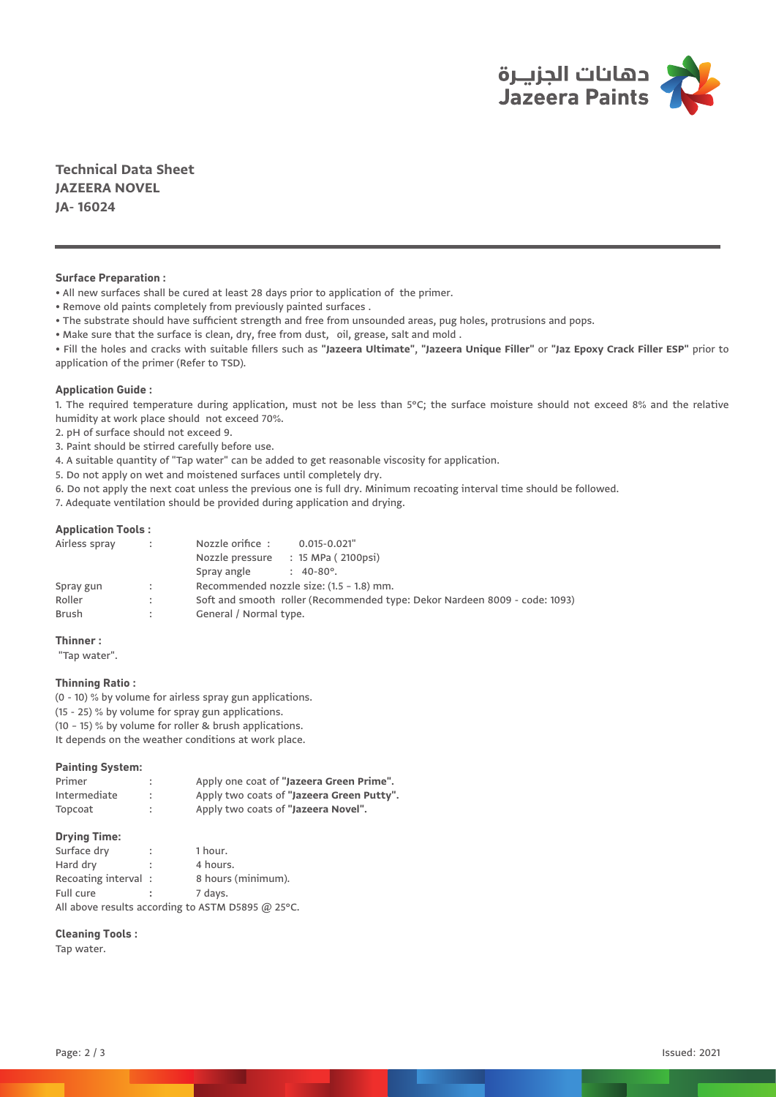

**Technical Data Sheet JAZEERA NOVEL JA- 16024**

## **Surface Preparation :**

• All new surfaces shall be cured at least 28 days prior to application of the primer.

• Remove old paints completely from previously painted surfaces .

• The substrate should have sufficient strength and free from unsounded areas, pug holes, protrusions and pops.

• Make sure that the surface is clean, dry, free from dust, oil, grease, salt and mold .

• Fill the holes and cracks with suitable fillers such as **"Jazeera Ultimate"**, **"Jazeera Unique Filler"** or **"Jaz Epoxy Crack Filler ESP"** prior to application of the primer (Refer to TSD).

### **Application Guide :**

1. The required temperature during application, must not be less than 5°C; the surface moisture should not exceed 8% and the relative humidity at work place should not exceed 70%.

2. pH of surface should not exceed 9.

3. Paint should be stirred carefully before use.

4. A suitable quantity of "Tap water" can be added to get reasonable viscosity for application.

5. Do not apply on wet and moistened surfaces until completely dry.

6. Do not apply the next coat unless the previous one is full dry. Minimum recoating interval time should be followed.

7. Adequate ventilation should be provided during application and drying.

#### **Application Tools :**

| Airless spray | $\sim$ | Nozzle orifice:<br>$0.015 - 0.021$ "                                       |  |
|---------------|--------|----------------------------------------------------------------------------|--|
|               |        | Nozzle pressure : 15 MPa (2100psi)                                         |  |
|               |        | Spray angle<br>$: 40-80^{\circ}.$                                          |  |
| Spray gun     | $\sim$ | Recommended nozzle size: (1.5 - 1.8) mm.                                   |  |
| Roller        |        | Soft and smooth roller (Recommended type: Dekor Nardeen 8009 - code: 1093) |  |
| Brush         |        | General / Normal type.                                                     |  |

# **Thinner :**

"Tap water".

### **Thinning Ratio :**

(0 - 10) % by volume for airless spray gun applications. (15 - 25) % by volume for spray gun applications. (10 – 15) % by volume for roller & brush applications. It depends on the weather conditions at work place.

### **Painting System:**

| Primer       |           | Apply one coat of "Jazeera Green Prime".  |
|--------------|-----------|-------------------------------------------|
| Intermediate | $\bullet$ | Apply two coats of "Jazeera Green Putty". |
| Topcoat      | ٠         | Apply two coats of "Jazeera Novel".       |

## **Drying Time:**

| Surface dry                                                 | ÷                    | 1 hour.            |  |  |
|-------------------------------------------------------------|----------------------|--------------------|--|--|
| Hard dry                                                    | $\ddot{\phantom{a}}$ | 4 hours.           |  |  |
| Recoating interval:                                         |                      | 8 hours (minimum). |  |  |
| Full cure                                                   |                      | 7 days.            |  |  |
| All above results according to ASTM D5895 $(25^{\circ}C)$ . |                      |                    |  |  |

# **Cleaning Tools :**

Tap water.